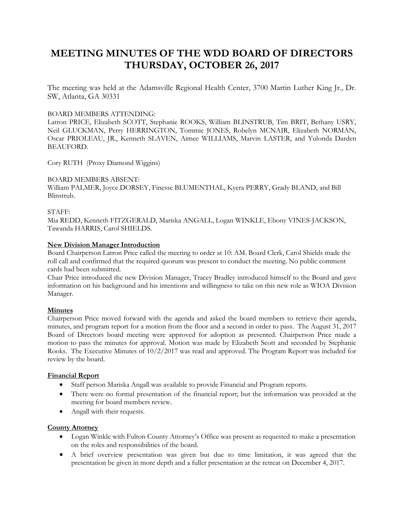# **MEETING MINUTES OF THE WDD BOARD OF DIRECTORS THURSDAY, OCTOBER 26, 2017**

The meeting was held at the Adamsville Regional Health Center, 3700 Martin Luther King Jr., Dr. SW, Atlanta, GA 30331

# BOARD MEMBERS ATTENDING:

Latron PRICE, Elizabeth SCOTT, Stephanie ROOKS, William BLINSTRUB, Tim BRIT, Bethany USRY, Neil GLUCKMAN, Perry HERRINGTON, Tommie JONES, Robelyn MCNAIR, Elizabeth NORMAN, Oscar PRIOLEAU, JR., Kenneth SLAVEN, Aimee WILLIAMS, Marvin LASTER, and Yulonda Darden BEAUFORD.

Cory RUTH (Proxy Diamond Wiggins)

# BOARD MEMBERS ABSENT:

William PALMER, Joyce DORSEY, Finesse BLUMENTHAL, Kyera PERRY, Grady BLAND, and Bill Blinstrub.

## STAFF:

Mia REDD, Kenneth FITZGERALD, Mariska ANGALL, Logan WINKLE, Ebony VINES-JACKSON, Tawanda HARRIS, Carol SHIELDS.

## **New Division Manager Introduction**

Board Chairperson Latron Price called the meeting to order at 10: AM. Board Clerk, Carol Shields made the roll call and confirmed that the required quorum was present to conduct the meeting. No public comment cards had been submitted.

Chair Price introduced the new Division Manager, Tracey Bradley introduced himself to the Board and gave information on his background and his intentions and willingness to take on this new role as WIOA Division Manager.

# **Minutes**

Chairperson Price moved forward with the agenda and asked the board members to retrieve their agenda, minutes, and program report for a motion from the floor and a second in order to pass. The August 31, 2017 Board of Directors board meeting were approved for adoption as presented. Chairperson Price made a motion to pass the minutes for approval. Motion was made by Elizabeth Scott and seconded by Stephanie Rooks. The Executive Minutes of 10/2/2017 was read and approved. The Program Report was included for review by the board.

#### **Financial Report**

- Staff person Mariska Angall was available to provide Financial and Program reports.
- There were no formal presentation of the financial report; but the information was provided at the meeting for board members review.
- Angall with their requests.

#### **County Attorney**

- Logan Winkle with Fulton County Attorney's Office was present as requested to make a presentation on the roles and responsibilities of the board.
- A brief overview presentation was given but due to time limitation, it was agreed that the presentation be given in more depth and a fuller presentation at the retreat on December 4, 2017.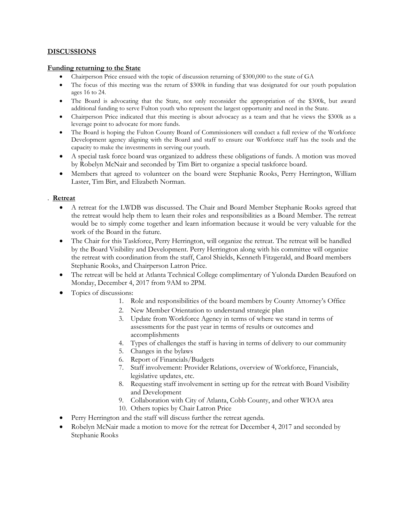# **DISCUSSIONS**

#### **Funding returning to the State**

- Chairperson Price ensued with the topic of discussion returning of \$300,000 to the state of GA
- The focus of this meeting was the return of \$300k in funding that was designated for our youth population ages 16 to 24.
- The Board is advocating that the State, not only reconsider the appropriation of the \$300k, but award additional funding to serve Fulton youth who represent the largest opportunity and need in the State.
- Chairperson Price indicated that this meeting is about advocacy as a team and that he views the \$300k as a leverage point to advocate for more funds.
- The Board is hoping the Fulton County Board of Commissioners will conduct a full review of the Workforce Development agency aligning with the Board and staff to ensure our Workforce staff has the tools and the capacity to make the investments in serving our youth.
- A special task force board was organized to address these obligations of funds. A motion was moved by Robelyn McNair and seconded by Tim Birt to organize a special taskforce board.
- Members that agreed to volunteer on the board were Stephanie Rooks, Perry Herrington, William Laster, Tim Birt, and Elizabeth Norman.

## . **Retreat**

- A retreat for the LWDB was discussed. The Chair and Board Member Stephanie Rooks agreed that the retreat would help them to learn their roles and responsibilities as a Board Member. The retreat would be to simply come together and learn information because it would be very valuable for the work of the Board in the future.
- The Chair for this Taskforce, Perry Herrington, will organize the retreat. The retreat will be handled by the Board Visibility and Development. Perry Herrington along with his committee will organize the retreat with coordination from the staff, Carol Shields, Kenneth Fitzgerald, and Board members Stephanie Rooks, and Chairperson Latron Price.
- The retreat will be held at Atlanta Technical College complimentary of Yulonda Darden Beauford on Monday, December 4, 2017 from 9AM to 2PM.
- Topics of discussions:
	- 1. Role and responsibilities of the board members by County Attorney's Office
	- 2. New Member Orientation to understand strategic plan
	- 3. Update from Workforce Agency in terms of where we stand in terms of assessments for the past year in terms of results or outcomes and accomplishments
	- 4. Types of challenges the staff is having in terms of delivery to our community
	- 5. Changes in the bylaws
	- 6. Report of Financials/Budgets
	- 7. Staff involvement: Provider Relations, overview of Workforce, Financials, legislative updates, etc.
	- 8. Requesting staff involvement in setting up for the retreat with Board Visibility and Development
	- 9. Collaboration with City of Atlanta, Cobb County, and other WIOA area
	- 10. Others topics by Chair Latron Price
- Perry Herrington and the staff will discuss further the retreat agenda.
- Robelyn McNair made a motion to move for the retreat for December 4, 2017 and seconded by Stephanie Rooks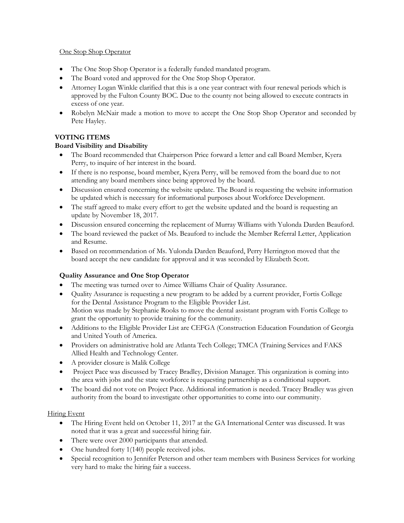# One Stop Shop Operator

- The One Stop Shop Operator is a federally funded mandated program.
- The Board voted and approved for the One Stop Shop Operator.
- Attorney Logan Winkle clarified that this is a one year contract with four renewal periods which is approved by the Fulton County BOC. Due to the county not being allowed to execute contracts in excess of one year.
- Robelyn McNair made a motion to move to accept the One Stop Shop Operator and seconded by Pete Hayley.

# **VOTING ITEMS**

# **Board Visibility and Disability**

- The Board recommended that Chairperson Price forward a letter and call Board Member, Kyera Perry, to inquire of her interest in the board.
- If there is no response, board member, Kyera Perry, will be removed from the board due to not attending any board members since being approved by the board.
- Discussion ensured concerning the website update. The Board is requesting the website information be updated which is necessary for informational purposes about Workforce Development.
- The staff agreed to make every effort to get the website updated and the board is requesting an update by November 18, 2017.
- Discussion ensured concerning the replacement of Murray Williams with Yulonda Darden Beauford.
- The board reviewed the packet of Ms. Beauford to include the Member Referral Letter, Application and Resume.
- Based on recommendation of Ms. Yulonda Darden Beauford, Perry Herrington moved that the board accept the new candidate for approval and it was seconded by Elizabeth Scott.

# **Quality Assurance and One Stop Operator**

- The meeting was turned over to Aimee Williams Chair of Quality Assurance.
- Quality Assurance is requesting a new program to be added by a current provider, Fortis College for the Dental Assistance Program to the Eligible Provider List. Motion was made by Stephanie Rooks to move the dental assistant program with Fortis College to grant the opportunity to provide training for the community.
- Additions to the Eligible Provider List are CEFGA (Construction Education Foundation of Georgia and United Youth of America.
- Providers on administrative hold are Atlanta Tech College; TMCA (Training Services and FAKS Allied Health and Technology Center.
- A provider closure is Malik College
- Project Pace was discussed by Tracey Bradley, Division Manager. This organization is coming into the area with jobs and the state workforce is requesting partnership as a conditional support.
- The board did not vote on Project Pace. Additional information is needed. Tracey Bradley was given authority from the board to investigate other opportunities to come into our community.

# Hiring Event

- The Hiring Event held on October 11, 2017 at the GA International Center was discussed. It was noted that it was a great and successful hiring fair.
- There were over 2000 participants that attended.
- One hundred forty 1(140) people received jobs.
- Special recognition to Jennifer Peterson and other team members with Business Services for working very hard to make the hiring fair a success.